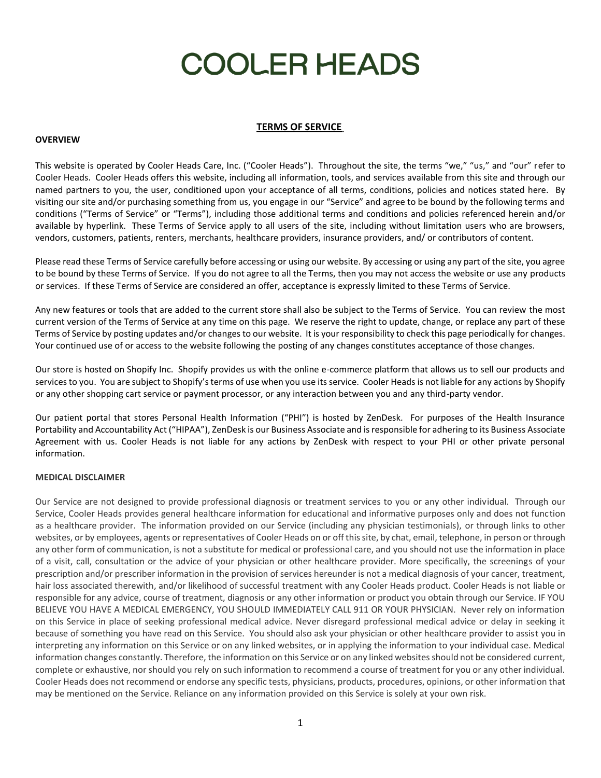## **TERMS OF SERVICE**

### **OVERVIEW**

This website is operated by Cooler Heads Care, Inc. ("Cooler Heads"). Throughout the site, the terms "we," "us," and "our" refer to Cooler Heads. Cooler Heads offers this website, including all information, tools, and services available from this site and through our named partners to you, the user, conditioned upon your acceptance of all terms, conditions, policies and notices stated here. By visiting our site and/or purchasing something from us, you engage in our "Service" and agree to be bound by the following terms and conditions ("Terms of Service" or "Terms"), including those additional terms and conditions and policies referenced herein and/or available by hyperlink. These Terms of Service apply to all users of the site, including without limitation users who are browsers, vendors, customers, patients, renters, merchants, healthcare providers, insurance providers, and/ or contributors of content.

Please read these Terms of Service carefully before accessing or using our website. By accessing or using any part of the site, you agree to be bound by these Terms of Service. If you do not agree to all the Terms, then you may not access the website or use any products or services. If these Terms of Service are considered an offer, acceptance is expressly limited to these Terms of Service.

Any new features or tools that are added to the current store shall also be subject to the Terms of Service. You can review the most current version of the Terms of Service at any time on this page. We reserve the right to update, change, or replace any part of these Terms of Service by posting updates and/or changes to our website. It is your responsibility to check this page periodically for changes. Your continued use of or access to the website following the posting of any changes constitutes acceptance of those changes.

Our store is hosted on Shopify Inc. Shopify provides us with the online e-commerce platform that allows us to sell our products and services to you. You are subject to Shopify's terms of use when you use its service. Cooler Heads is not liable for any actions by Shopify or any other shopping cart service or payment processor, or any interaction between you and any third-party vendor.

Our patient portal that stores Personal Health Information ("PHI") is hosted by ZenDesk. For purposes of the Health Insurance Portability and Accountability Act ("HIPAA"), ZenDesk is our Business Associate and is responsible for adhering to its Business Associate Agreement with us. Cooler Heads is not liable for any actions by ZenDesk with respect to your PHI or other private personal information.

## **MEDICAL DISCLAIMER**

Our Service are not designed to provide professional diagnosis or treatment services to you or any other individual. Through our Service, Cooler Heads provides general healthcare information for educational and informative purposes only and does not function as a healthcare provider. The information provided on our Service (including any physician testimonials), or through links to other websites, or by employees, agents or representatives of Cooler Heads on or off this site, by chat, email, telephone, in person or through any other form of communication, is not a substitute for medical or professional care, and you should not use the information in place of a visit, call, consultation or the advice of your physician or other healthcare provider. More specifically, the screenings of your prescription and/or prescriber information in the provision of services hereunder is not a medical diagnosis of your cancer, treatment, hair loss associated therewith, and/or likelihood of successful treatment with any Cooler Heads product. Cooler Heads is not liable or responsible for any advice, course of treatment, diagnosis or any other information or product you obtain through our Service. IF YOU BELIEVE YOU HAVE A MEDICAL EMERGENCY, YOU SHOULD IMMEDIATELY CALL 911 OR YOUR PHYSICIAN. Never rely on information on this Service in place of seeking professional medical advice. Never disregard professional medical advice or delay in seeking it because of something you have read on this Service. You should also ask your physician or other healthcare provider to assist you in interpreting any information on this Service or on any linked websites, or in applying the information to your individual case. Medical information changes constantly. Therefore, the information on this Service or on any linked websites should not be considered current, complete or exhaustive, nor should you rely on such information to recommend a course of treatment for you or any other individual. Cooler Heads does not recommend or endorse any specific tests, physicians, products, procedures, opinions, or other information that may be mentioned on the Service. Reliance on any information provided on this Service is solely at your own risk.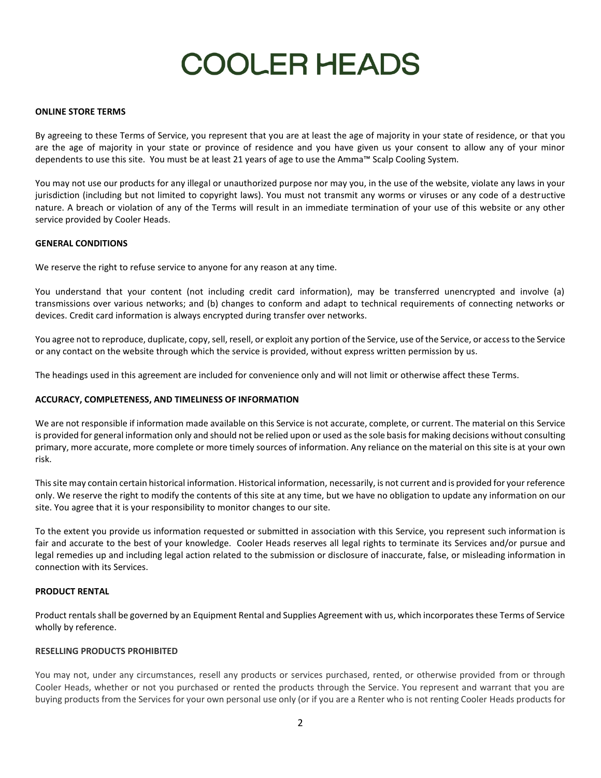#### **ONLINE STORE TERMS**

By agreeing to these Terms of Service, you represent that you are at least the age of majority in your state of residence, or that you are the age of majority in your state or province of residence and you have given us your consent to allow any of your minor dependents to use this site. You must be at least 21 years of age to use the Amma™ Scalp Cooling System.

You may not use our products for any illegal or unauthorized purpose nor may you, in the use of the website, violate any laws in your jurisdiction (including but not limited to copyright laws). You must not transmit any worms or viruses or any code of a destructive nature. A breach or violation of any of the Terms will result in an immediate termination of your use of this website or any other service provided by Cooler Heads.

#### **GENERAL CONDITIONS**

We reserve the right to refuse service to anyone for any reason at any time.

You understand that your content (not including credit card information), may be transferred unencrypted and involve (a) transmissions over various networks; and (b) changes to conform and adapt to technical requirements of connecting networks or devices. Credit card information is always encrypted during transfer over networks.

You agree not to reproduce, duplicate, copy, sell, resell, or exploit any portion of the Service, use of the Service, or access to the Service or any contact on the website through which the service is provided, without express written permission by us.

The headings used in this agreement are included for convenience only and will not limit or otherwise affect these Terms.

#### **ACCURACY, COMPLETENESS, AND TIMELINESS OF INFORMATION**

We are not responsible if information made available on this Service is not accurate, complete, or current. The material on this Service is provided for general information only and should not be relied upon or used as the sole basis for making decisions without consulting primary, more accurate, more complete or more timely sources of information. Any reliance on the material on this site is at your own risk.

This site may contain certain historical information. Historical information, necessarily, is not current and is provided for your reference only. We reserve the right to modify the contents of this site at any time, but we have no obligation to update any information on our site. You agree that it is your responsibility to monitor changes to our site.

To the extent you provide us information requested or submitted in association with this Service, you represent such information is fair and accurate to the best of your knowledge. Cooler Heads reserves all legal rights to terminate its Services and/or pursue and legal remedies up and including legal action related to the submission or disclosure of inaccurate, false, or misleading information in connection with its Services.

#### **PRODUCT RENTAL**

Product rentals shall be governed by an Equipment Rental and Supplies Agreement with us, which incorporates these Terms of Service wholly by reference.

#### **RESELLING PRODUCTS PROHIBITED**

You may not, under any circumstances, resell any products or services purchased, rented, or otherwise provided from or through Cooler Heads, whether or not you purchased or rented the products through the Service. You represent and warrant that you are buying products from the Services for your own personal use only (or if you are a Renter who is not renting Cooler Heads products for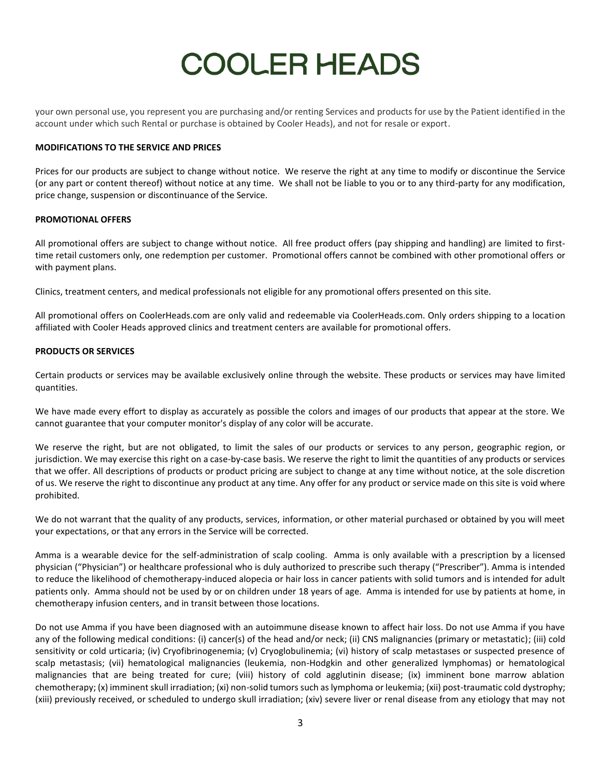your own personal use, you represent you are purchasing and/or renting Services and products for use by the Patient identified in the account under which such Rental or purchase is obtained by Cooler Heads), and not for resale or export.

### **MODIFICATIONS TO THE SERVICE AND PRICES**

Prices for our products are subject to change without notice. We reserve the right at any time to modify or discontinue the Service (or any part or content thereof) without notice at any time. We shall not be liable to you or to any third-party for any modification, price change, suspension or discontinuance of the Service.

#### **PROMOTIONAL OFFERS**

All promotional offers are subject to change without notice. All free product offers (pay shipping and handling) are limited to firsttime retail customers only, one redemption per customer. Promotional offers cannot be combined with other promotional offers or with payment plans.

Clinics, treatment centers, and medical professionals not eligible for any promotional offers presented on this site.

All promotional offers on CoolerHeads.com are only valid and redeemable via CoolerHeads.com. Only orders shipping to a location affiliated with Cooler Heads approved clinics and treatment centers are available for promotional offers.

## **PRODUCTS OR SERVICES**

Certain products or services may be available exclusively online through the website. These products or services may have limited quantities.

We have made every effort to display as accurately as possible the colors and images of our products that appear at the store. We cannot guarantee that your computer monitor's display of any color will be accurate.

We reserve the right, but are not obligated, to limit the sales of our products or services to any person, geographic region, or jurisdiction. We may exercise this right on a case-by-case basis. We reserve the right to limit the quantities of any products or services that we offer. All descriptions of products or product pricing are subject to change at any time without notice, at the sole discretion of us. We reserve the right to discontinue any product at any time. Any offer for any product or service made on this site is void where prohibited.

We do not warrant that the quality of any products, services, information, or other material purchased or obtained by you will meet your expectations, or that any errors in the Service will be corrected.

Amma is a wearable device for the self-administration of scalp cooling. Amma is only available with a prescription by a licensed physician ("Physician") or healthcare professional who is duly authorized to prescribe such therapy ("Prescriber"). Amma is intended to reduce the likelihood of chemotherapy-induced alopecia or hair loss in cancer patients with solid tumors and is intended for adult patients only. Amma should not be used by or on children under 18 years of age. Amma is intended for use by patients at home, in chemotherapy infusion centers, and in transit between those locations.

Do not use Amma if you have been diagnosed with an autoimmune disease known to affect hair loss. Do not use Amma if you have any of the following medical conditions: (i) cancer(s) of the head and/or neck; (ii) CNS malignancies (primary or metastatic); (iii) cold sensitivity or cold urticaria; (iv) Cryofibrinogenemia; (v) Cryoglobulinemia; (vi) history of scalp metastases or suspected presence of scalp metastasis; (vii) hematological malignancies (leukemia, non-Hodgkin and other generalized lymphomas) or hematological malignancies that are being treated for cure; (viii) history of cold agglutinin disease; (ix) imminent bone marrow ablation chemotherapy; (x) imminent skull irradiation; (xi) non-solid tumors such as lymphoma or leukemia; (xii) post-traumatic cold dystrophy; (xiii) previously received, or scheduled to undergo skull irradiation; (xiv) severe liver or renal disease from any etiology that may not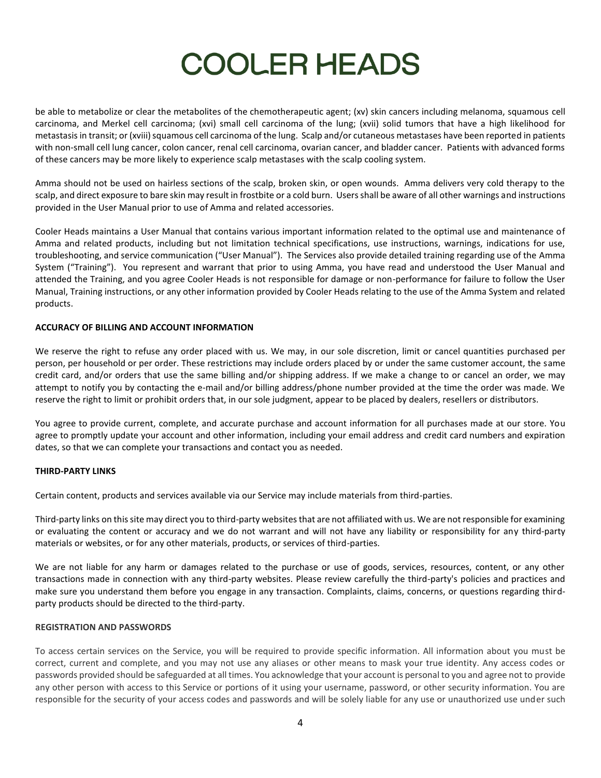be able to metabolize or clear the metabolites of the chemotherapeutic agent; (xv) skin cancers including melanoma, squamous cell carcinoma, and Merkel cell carcinoma; (xvi) small cell carcinoma of the lung; (xvii) solid tumors that have a high likelihood for metastasis in transit; or (xviii) squamous cell carcinoma of the lung. Scalp and/or cutaneous metastases have been reported in patients with non-small cell lung cancer, colon cancer, renal cell carcinoma, ovarian cancer, and bladder cancer. Patients with advanced forms of these cancers may be more likely to experience scalp metastases with the scalp cooling system.

Amma should not be used on hairless sections of the scalp, broken skin, or open wounds. Amma delivers very cold therapy to the scalp, and direct exposure to bare skin may result in frostbite or a cold burn. Users shall be aware of all other warnings and instructions provided in the User Manual prior to use of Amma and related accessories.

Cooler Heads maintains a User Manual that contains various important information related to the optimal use and maintenance of Amma and related products, including but not limitation technical specifications, use instructions, warnings, indications for use, troubleshooting, and service communication ("User Manual"). The Services also provide detailed training regarding use of the Amma System ("Training"). You represent and warrant that prior to using Amma, you have read and understood the User Manual and attended the Training, and you agree Cooler Heads is not responsible for damage or non-performance for failure to follow the User Manual, Training instructions, or any other information provided by Cooler Heads relating to the use of the Amma System and related products.

## **ACCURACY OF BILLING AND ACCOUNT INFORMATION**

We reserve the right to refuse any order placed with us. We may, in our sole discretion, limit or cancel quantities purchased per person, per household or per order. These restrictions may include orders placed by or under the same customer account, the same credit card, and/or orders that use the same billing and/or shipping address. If we make a change to or cancel an order, we may attempt to notify you by contacting the e-mail and/or billing address/phone number provided at the time the order was made. We reserve the right to limit or prohibit orders that, in our sole judgment, appear to be placed by dealers, resellers or distributors.

You agree to provide current, complete, and accurate purchase and account information for all purchases made at our store. You agree to promptly update your account and other information, including your email address and credit card numbers and expiration dates, so that we can complete your transactions and contact you as needed.

#### **THIRD-PARTY LINKS**

Certain content, products and services available via our Service may include materials from third-parties.

Third-party links on this site may direct you to third-party websites that are not affiliated with us. We are not responsible for examining or evaluating the content or accuracy and we do not warrant and will not have any liability or responsibility for any third-party materials or websites, or for any other materials, products, or services of third-parties.

We are not liable for any harm or damages related to the purchase or use of goods, services, resources, content, or any other transactions made in connection with any third-party websites. Please review carefully the third-party's policies and practices and make sure you understand them before you engage in any transaction. Complaints, claims, concerns, or questions regarding thirdparty products should be directed to the third-party.

#### **REGISTRATION AND PASSWORDS**

To access certain services on the Service, you will be required to provide specific information. All information about you must be correct, current and complete, and you may not use any aliases or other means to mask your true identity. Any access codes or passwords provided should be safeguarded at all times. You acknowledge that your account is personal to you and agree not to provide any other person with access to this Service or portions of it using your username, password, or other security information. You are responsible for the security of your access codes and passwords and will be solely liable for any use or unauthorized use under such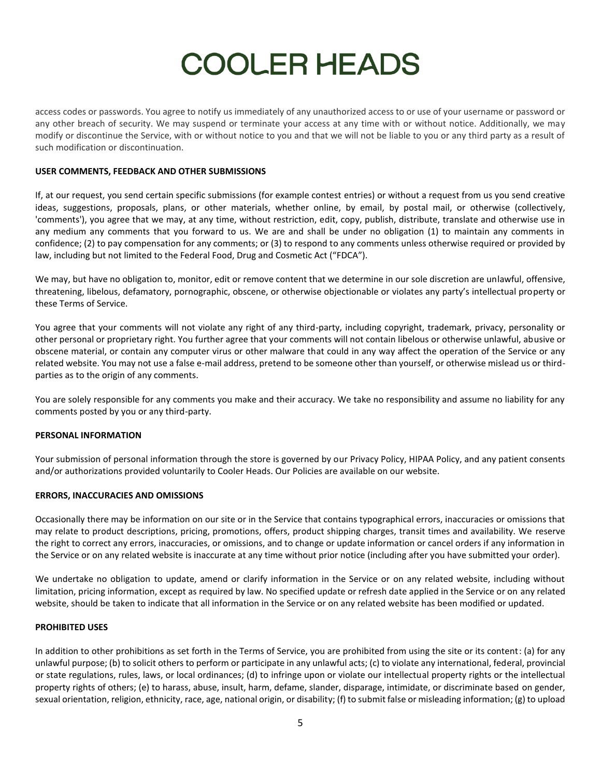access codes or passwords. You agree to notify us immediately of any unauthorized access to or use of your username or password or any other breach of security. We may suspend or terminate your access at any time with or without notice. Additionally, we may modify or discontinue the Service, with or without notice to you and that we will not be liable to you or any third party as a result of such modification or discontinuation.

## **USER COMMENTS, FEEDBACK AND OTHER SUBMISSIONS**

If, at our request, you send certain specific submissions (for example contest entries) or without a request from us you send creative ideas, suggestions, proposals, plans, or other materials, whether online, by email, by postal mail, or otherwise (collectively, 'comments'), you agree that we may, at any time, without restriction, edit, copy, publish, distribute, translate and otherwise use in any medium any comments that you forward to us. We are and shall be under no obligation (1) to maintain any comments in confidence; (2) to pay compensation for any comments; or (3) to respond to any comments unless otherwise required or provided by law, including but not limited to the Federal Food, Drug and Cosmetic Act ("FDCA").

We may, but have no obligation to, monitor, edit or remove content that we determine in our sole discretion are unlawful, offensive, threatening, libelous, defamatory, pornographic, obscene, or otherwise objectionable or violates any party's intellectual property or these Terms of Service.

You agree that your comments will not violate any right of any third-party, including copyright, trademark, privacy, personality or other personal or proprietary right. You further agree that your comments will not contain libelous or otherwise unlawful, abusive or obscene material, or contain any computer virus or other malware that could in any way affect the operation of the Service or any related website. You may not use a false e-mail address, pretend to be someone other than yourself, or otherwise mislead us or thirdparties as to the origin of any comments.

You are solely responsible for any comments you make and their accuracy. We take no responsibility and assume no liability for any comments posted by you or any third-party.

#### **PERSONAL INFORMATION**

Your submission of personal information through the store is governed by our Privacy Policy, HIPAA Policy, and any patient consents and/or authorizations provided voluntarily to Cooler Heads. Our Policies are available on our website.

#### **ERRORS, INACCURACIES AND OMISSIONS**

Occasionally there may be information on our site or in the Service that contains typographical errors, inaccuracies or omissions that may relate to product descriptions, pricing, promotions, offers, product shipping charges, transit times and availability. We reserve the right to correct any errors, inaccuracies, or omissions, and to change or update information or cancel orders if any information in the Service or on any related website is inaccurate at any time without prior notice (including after you have submitted your order).

We undertake no obligation to update, amend or clarify information in the Service or on any related website, including without limitation, pricing information, except as required by law. No specified update or refresh date applied in the Service or on any related website, should be taken to indicate that all information in the Service or on any related website has been modified or updated.

#### **PROHIBITED USES**

In addition to other prohibitions as set forth in the Terms of Service, you are prohibited from using the site or its content: (a) for any unlawful purpose; (b) to solicit others to perform or participate in any unlawful acts; (c) to violate any international, federal, provincial or state regulations, rules, laws, or local ordinances; (d) to infringe upon or violate our intellectual property rights or the intellectual property rights of others; (e) to harass, abuse, insult, harm, defame, slander, disparage, intimidate, or discriminate based on gender, sexual orientation, religion, ethnicity, race, age, national origin, or disability; (f) to submit false or misleading information; (g) to upload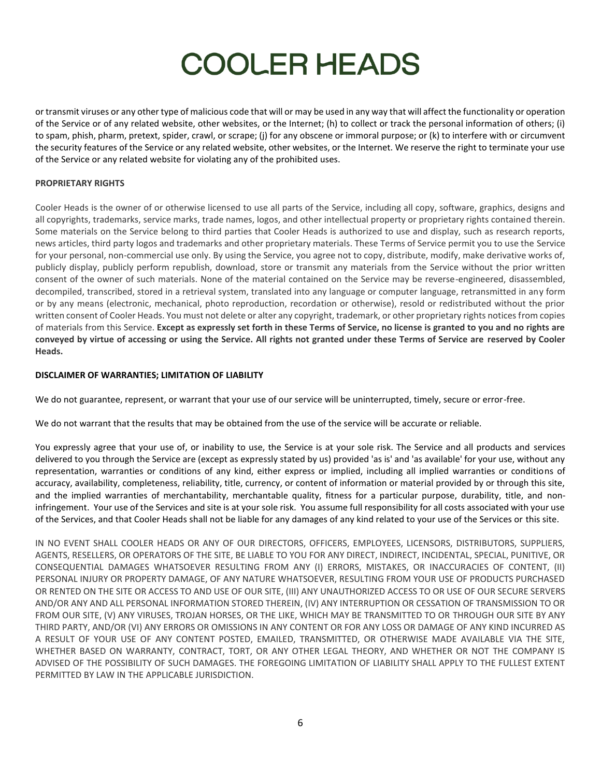or transmit viruses or any other type of malicious code that will or may be used in any way that will affect the functionality or operation of the Service or of any related website, other websites, or the Internet; (h) to collect or track the personal information of others; (i) to spam, phish, pharm, pretext, spider, crawl, or scrape; (j) for any obscene or immoral purpose; or (k) to interfere with or circumvent the security features of the Service or any related website, other websites, or the Internet. We reserve the right to terminate your use of the Service or any related website for violating any of the prohibited uses.

## **PROPRIETARY RIGHTS**

Cooler Heads is the owner of or otherwise licensed to use all parts of the Service, including all copy, software, graphics, designs and all copyrights, trademarks, service marks, trade names, logos, and other intellectual property or proprietary rights contained therein. Some materials on the Service belong to third parties that Cooler Heads is authorized to use and display, such as research reports, news articles, third party logos and trademarks and other proprietary materials. These Terms of Service permit you to use the Service for your personal, non-commercial use only. By using the Service, you agree not to copy, distribute, modify, make derivative works of, publicly display, publicly perform republish, download, store or transmit any materials from the Service without the prior written consent of the owner of such materials. None of the material contained on the Service may be reverse-engineered, disassembled, decompiled, transcribed, stored in a retrieval system, translated into any language or computer language, retransmitted in any form or by any means (electronic, mechanical, photo reproduction, recordation or otherwise), resold or redistributed without the prior written consent of Cooler Heads. You must not delete or alter any copyright, trademark, or other proprietary rights notices from copies of materials from this Service. **Except as expressly set forth in these Terms of Service, no license is granted to you and no rights are conveyed by virtue of accessing or using the Service. All rights not granted under these Terms of Service are reserved by Cooler Heads.**

## **DISCLAIMER OF WARRANTIES; LIMITATION OF LIABILITY**

We do not guarantee, represent, or warrant that your use of our service will be uninterrupted, timely, secure or error-free.

We do not warrant that the results that may be obtained from the use of the service will be accurate or reliable.

You expressly agree that your use of, or inability to use, the Service is at your sole risk. The Service and all products and services delivered to you through the Service are (except as expressly stated by us) provided 'as is' and 'as available' for your use, without any representation, warranties or conditions of any kind, either express or implied, including all implied warranties or conditions of accuracy, availability, completeness, reliability, title, currency, or content of information or material provided by or through this site, and the implied warranties of merchantability, merchantable quality, fitness for a particular purpose, durability, title, and noninfringement. Your use of the Services and site is at your sole risk. You assume full responsibility for all costs associated with your use of the Services, and that Cooler Heads shall not be liable for any damages of any kind related to your use of the Services or this site.

IN NO EVENT SHALL COOLER HEADS OR ANY OF OUR DIRECTORS, OFFICERS, EMPLOYEES, LICENSORS, DISTRIBUTORS, SUPPLIERS, AGENTS, RESELLERS, OR OPERATORS OF THE SITE, BE LIABLE TO YOU FOR ANY DIRECT, INDIRECT, INCIDENTAL, SPECIAL, PUNITIVE, OR CONSEQUENTIAL DAMAGES WHATSOEVER RESULTING FROM ANY (I) ERRORS, MISTAKES, OR INACCURACIES OF CONTENT, (II) PERSONAL INJURY OR PROPERTY DAMAGE, OF ANY NATURE WHATSOEVER, RESULTING FROM YOUR USE OF PRODUCTS PURCHASED OR RENTED ON THE SITE OR ACCESS TO AND USE OF OUR SITE, (III) ANY UNAUTHORIZED ACCESS TO OR USE OF OUR SECURE SERVERS AND/OR ANY AND ALL PERSONAL INFORMATION STORED THEREIN, (IV) ANY INTERRUPTION OR CESSATION OF TRANSMISSION TO OR FROM OUR SITE, (V) ANY VIRUSES, TROJAN HORSES, OR THE LIKE, WHICH MAY BE TRANSMITTED TO OR THROUGH OUR SITE BY ANY THIRD PARTY, AND/OR (VI) ANY ERRORS OR OMISSIONS IN ANY CONTENT OR FOR ANY LOSS OR DAMAGE OF ANY KIND INCURRED AS A RESULT OF YOUR USE OF ANY CONTENT POSTED, EMAILED, TRANSMITTED, OR OTHERWISE MADE AVAILABLE VIA THE SITE, WHETHER BASED ON WARRANTY, CONTRACT, TORT, OR ANY OTHER LEGAL THEORY, AND WHETHER OR NOT THE COMPANY IS ADVISED OF THE POSSIBILITY OF SUCH DAMAGES. THE FOREGOING LIMITATION OF LIABILITY SHALL APPLY TO THE FULLEST EXTENT PERMITTED BY LAW IN THE APPLICABLE JURISDICTION.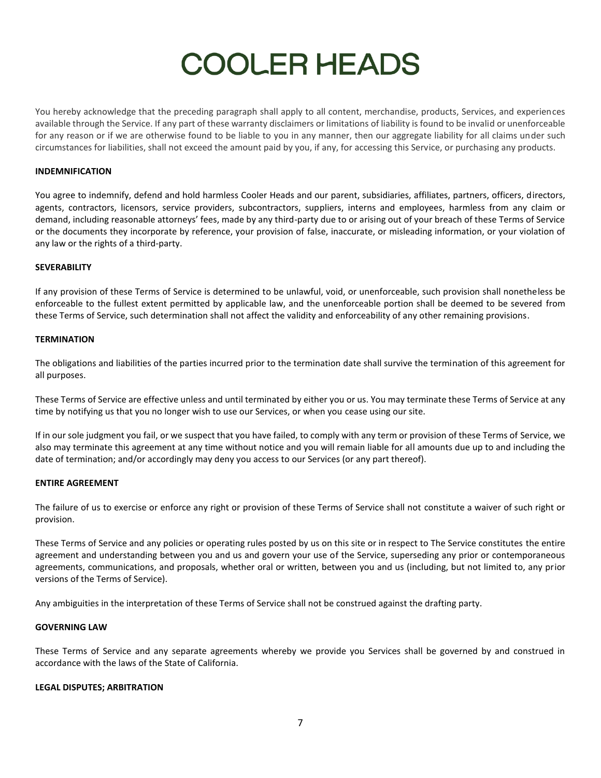You hereby acknowledge that the preceding paragraph shall apply to all content, merchandise, products, Services, and experiences available through the Service. If any part of these warranty disclaimers or limitations of liability is found to be invalid or unenforceable for any reason or if we are otherwise found to be liable to you in any manner, then our aggregate liability for all claims under such circumstances for liabilities, shall not exceed the amount paid by you, if any, for accessing this Service, or purchasing any products.

#### **INDEMNIFICATION**

You agree to indemnify, defend and hold harmless Cooler Heads and our parent, subsidiaries, affiliates, partners, officers, directors, agents, contractors, licensors, service providers, subcontractors, suppliers, interns and employees, harmless from any claim or demand, including reasonable attorneys' fees, made by any third-party due to or arising out of your breach of these Terms of Service or the documents they incorporate by reference, your provision of false, inaccurate, or misleading information, or your violation of any law or the rights of a third-party.

#### **SEVERABILITY**

If any provision of these Terms of Service is determined to be unlawful, void, or unenforceable, such provision shall nonetheless be enforceable to the fullest extent permitted by applicable law, and the unenforceable portion shall be deemed to be severed from these Terms of Service, such determination shall not affect the validity and enforceability of any other remaining provisions.

## **TERMINATION**

The obligations and liabilities of the parties incurred prior to the termination date shall survive the termination of this agreement for all purposes.

These Terms of Service are effective unless and until terminated by either you or us. You may terminate these Terms of Service at any time by notifying us that you no longer wish to use our Services, or when you cease using our site.

If in our sole judgment you fail, or we suspect that you have failed, to comply with any term or provision of these Terms of Service, we also may terminate this agreement at any time without notice and you will remain liable for all amounts due up to and including the date of termination; and/or accordingly may deny you access to our Services (or any part thereof).

### **ENTIRE AGREEMENT**

The failure of us to exercise or enforce any right or provision of these Terms of Service shall not constitute a waiver of such right or provision.

These Terms of Service and any policies or operating rules posted by us on this site or in respect to The Service constitutes the entire agreement and understanding between you and us and govern your use of the Service, superseding any prior or contemporaneous agreements, communications, and proposals, whether oral or written, between you and us (including, but not limited to, any prior versions of the Terms of Service).

Any ambiguities in the interpretation of these Terms of Service shall not be construed against the drafting party.

#### **GOVERNING LAW**

These Terms of Service and any separate agreements whereby we provide you Services shall be governed by and construed in accordance with the laws of the State of California.

#### **LEGAL DISPUTES; ARBITRATION**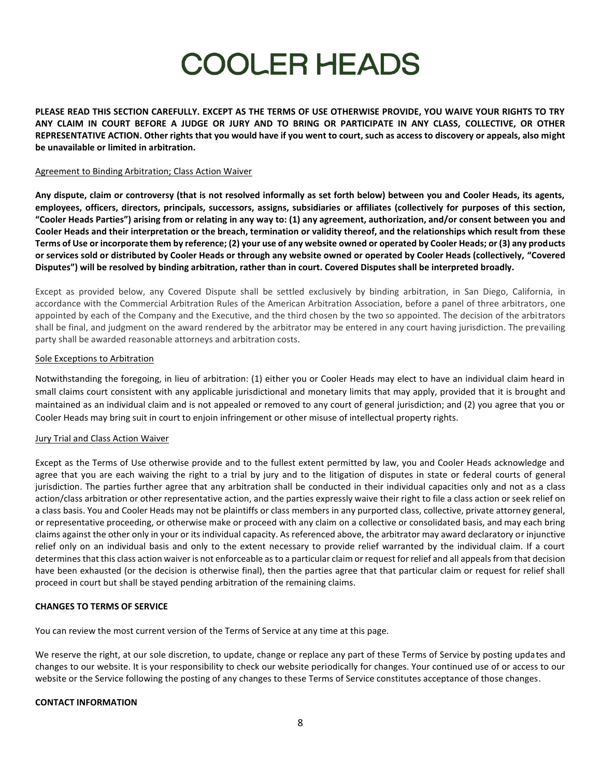**PLEASE READ THIS SECTION CAREFULLY. EXCEPT AS THE TERMS OF USE OTHERWISE PROVIDE, YOU WAIVE YOUR RIGHTS TO TRY ANY CLAIM IN COURT BEFORE A JUDGE OR JURY AND TO BRING OR PARTICIPATE IN ANY CLASS, COLLECTIVE, OR OTHER REPRESENTATIVE ACTION. Other rights that you would have if you went to court, such as access to discovery or appeals, also might be unavailable or limited in arbitration.**

#### Agreement to Binding Arbitration; Class Action Waiver

**Any dispute, claim or controversy (that is not resolved informally as set forth below) between you and Cooler Heads, its agents, employees, officers, directors, principals, successors, assigns, subsidiaries or affiliates (collectively for purposes of this section, "Cooler Heads Parties") arising from or relating in any way to: (1) any agreement, authorization, and/or consent between you and Cooler Heads and their interpretation or the breach, termination or validity thereof, and the relationships which result from these Terms of Use or incorporate them by reference; (2) your use of any website owned or operated by Cooler Heads; or (3) any products or services sold or distributed by Cooler Heads or through any website owned or operated by Cooler Heads (collectively, "Covered Disputes") will be resolved by binding arbitration, rather than in court. Covered Disputes shall be interpreted broadly.**

Except as provided below, any Covered Dispute shall be settled exclusively by binding arbitration, in San Diego, California, in accordance with the Commercial Arbitration Rules of the American Arbitration Association, before a panel of three arbitrators, one appointed by each of the Company and the Executive, and the third chosen by the two so appointed. The decision of the arbitrators shall be final, and judgment on the award rendered by the arbitrator may be entered in any court having jurisdiction. The prevailing party shall be awarded reasonable attorneys and arbitration costs.

#### Sole Exceptions to Arbitration

Notwithstanding the foregoing, in lieu of arbitration: (1) either you or Cooler Heads may elect to have an individual claim heard in small claims court consistent with any applicable jurisdictional and monetary limits that may apply, provided that it is brought and maintained as an individual claim and is not appealed or removed to any court of general jurisdiction; and (2) you agree that you or Cooler Heads may bring suit in court to enjoin infringement or other misuse of intellectual property rights.

#### Jury Trial and Class Action Waiver

Except as the Terms of Use otherwise provide and to the fullest extent permitted by law, you and Cooler Heads acknowledge and agree that you are each waiving the right to a trial by jury and to the litigation of disputes in state or federal courts of general jurisdiction. The parties further agree that any arbitration shall be conducted in their individual capacities only and not as a class action/class arbitration or other representative action, and the parties expressly waive their right to file a class action or seek relief on a class basis. You and Cooler Heads may not be plaintiffs or class members in any purported class, collective, private attorney general, or representative proceeding, or otherwise make or proceed with any claim on a collective or consolidated basis, and may each bring claims against the other only in your or its individual capacity. As referenced above, the arbitrator may award declaratory or injunctive relief only on an individual basis and only to the extent necessary to provide relief warranted by the individual claim. If a court determines that this class action waiver is not enforceable as to a particular claim or request for relief and all appeals from that decision have been exhausted (or the decision is otherwise final), then the parties agree that that particular claim or request for relief shall proceed in court but shall be stayed pending arbitration of the remaining claims.

#### **CHANGES TO TERMS OF SERVICE**

You can review the most current version of the Terms of Service at any time at this page.

We reserve the right, at our sole discretion, to update, change or replace any part of these Terms of Service by posting updates and changes to our website. It is your responsibility to check our website periodically for changes. Your continued use of or access to our website or the Service following the posting of any changes to these Terms of Service constitutes acceptance of those changes.

#### **CONTACT INFORMATION**